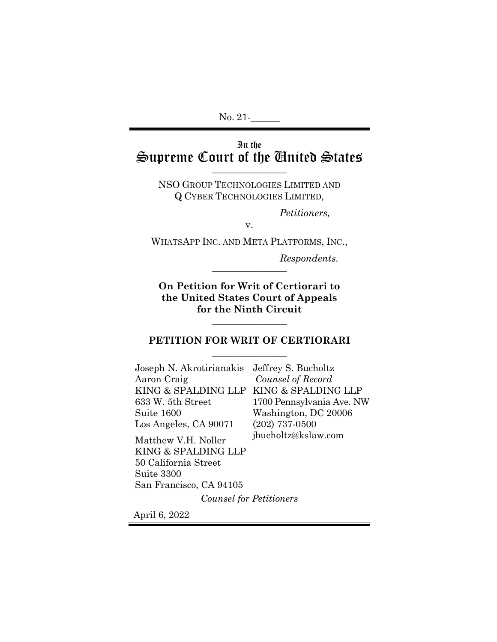No. 21-

# In the Supreme Court of the United States

NSO GROUP TECHNOLOGIES LIMITED AND Q CYBER TECHNOLOGIES LIMITED,

*Petitioners,*

v.

WHATSAPP INC. AND META PLATFORMS, INC.,

 $Respondents.$ 

**On Petition for Writ of Certiorari to the United States Court of Appeals for the Ninth Circuit**

\_\_\_\_\_\_\_\_\_\_\_\_\_\_\_\_

## **PETITION FOR WRIT OF CERTIORARI**  $\overline{\phantom{a}}$  , where  $\overline{\phantom{a}}$

Joseph N. Akrotirianakis Jeffrey S. Bucholtz Aaron Craig KING & SPALDING LLP KING & SPALDING LLP 633 W. 5th Street Suite 1600 Los Angeles, CA 90071

*Counsel of Record* 1700 Pennsylvania Ave. NW Washington, DC 20006 (202) 737-0500 jbucholtz@kslaw.com

Matthew V.H. Noller KING & SPALDING LLP 50 California Street Suite 3300 San Francisco, CA 94105

*Counsel for Petitioners* 

April 6, 2022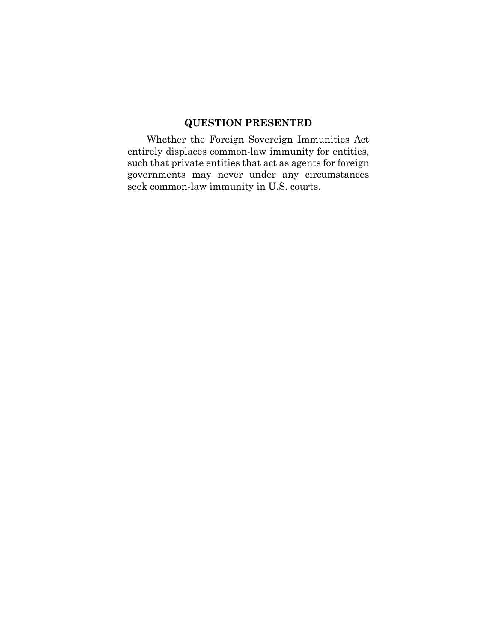# **QUESTION PRESENTED**

<span id="page-1-0"></span>Whether the Foreign Sovereign Immunities Act entirely displaces common-law immunity for entities, such that private entities that act as agents for foreign governments may never under any circumstances seek common-law immunity in U.S. courts.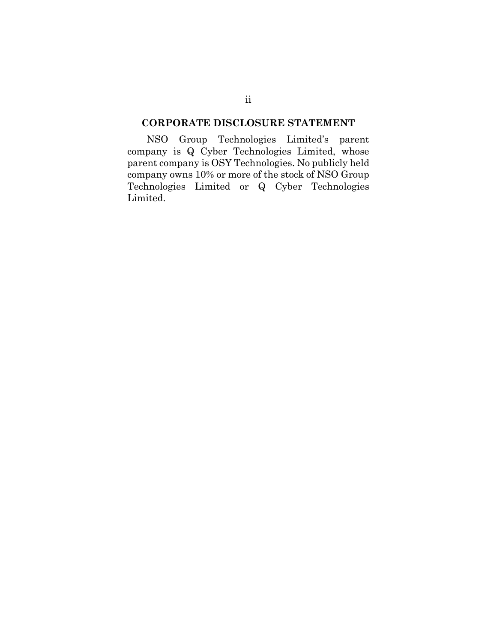#### <span id="page-2-0"></span>**CORPORATE DISCLOSURE STATEMENT**

NSO Group Technologies Limited's parent company is Q Cyber Technologies Limited, whose parent company is OSY Technologies. No publicly held company owns 10% or more of the stock of NSO Group Technologies Limited or Q Cyber Technologies Limited.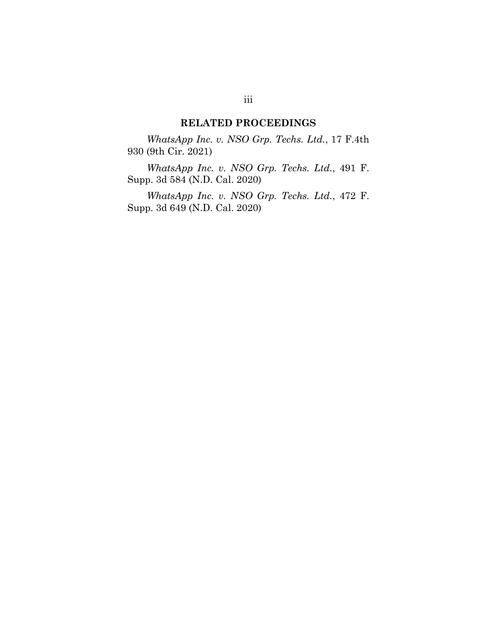# **RELATED PROCEEDINGS**

<span id="page-3-0"></span>*WhatsApp Inc. v. NSO Grp. Techs. Ltd.*, 17 F.4th 930 (9th Cir. 2021)

*WhatsApp Inc. v. NSO Grp. Techs. Ltd.*, 491 F. Supp. 3d 584 (N.D. Cal. 2020)

*WhatsApp Inc. v. NSO Grp. Techs. Ltd.*, 472 F. Supp. 3d 649 (N.D. Cal. 2020)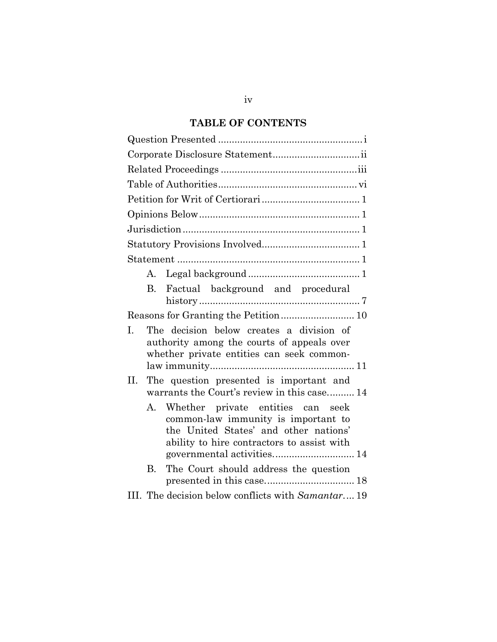# **TABLE OF CONTENTS**

| Factual background and procedural<br>$\rm B$ .                                                                                                                     |  |  |  |  |
|--------------------------------------------------------------------------------------------------------------------------------------------------------------------|--|--|--|--|
|                                                                                                                                                                    |  |  |  |  |
| The decision below creates a division of<br>I.<br>authority among the courts of appeals over<br>whether private entities can seek common-                          |  |  |  |  |
| II.<br>The question presented is important and<br>warrants the Court's review in this case 14                                                                      |  |  |  |  |
| A. Whether private entities can seek<br>common-law immunity is important to<br>the United States' and other nations'<br>ability to hire contractors to assist with |  |  |  |  |
| The Court should address the question<br>В.                                                                                                                        |  |  |  |  |
| III. The decision below conflicts with Samantar 19                                                                                                                 |  |  |  |  |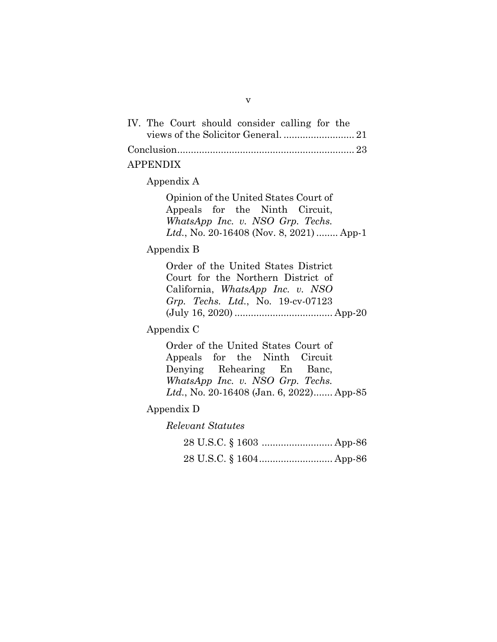|  |  | IV. The Court should consider calling for the |  |  |
|--|--|-----------------------------------------------|--|--|
|  |  |                                               |  |  |
|  |  |                                               |  |  |

### APPENDIX

### Appendix A

Opinion of the United States Court of Appeals for the Ninth Circuit, *WhatsApp Inc. v. NSO Grp. Techs. Ltd.*, No. 20-16408 (Nov. 8, 2021) ........ App-1

## Appendix B

Order of the United States District Court for the Northern District of California, *WhatsApp Inc. v. NSO Grp. Techs. Ltd.*, No. 19-cv-07123 (July 16, 2020) .................................... App-20

## Appendix C

Order of the United States Court of Appeals for the Ninth Circuit Denying Rehearing En Banc, *WhatsApp Inc. v. NSO Grp. Techs. Ltd.*, No. 20-16408 (Jan. 6, 2022)....... App-85

#### Appendix D

*Relevant Statutes*

28 U.S.C. § 1603 .......................... App-86 28 U.S.C. § 1604........................... App-86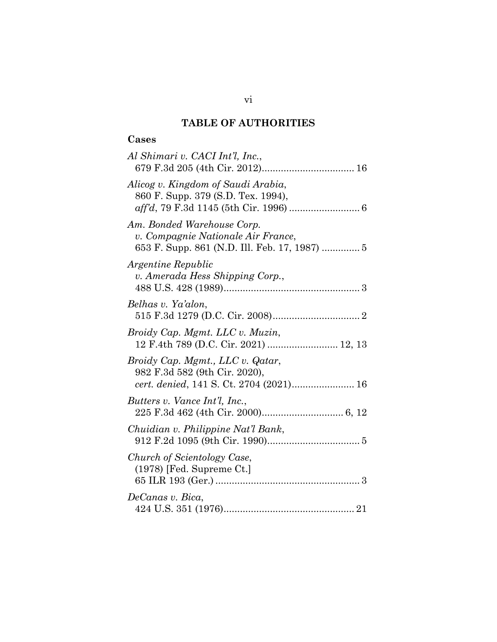# **TABLE OF AUTHORITIES**

## <span id="page-6-0"></span>**Cases**

| Al Shimari v. CACI Int'l, Inc.,                                                                                   |
|-------------------------------------------------------------------------------------------------------------------|
| Alicog v. Kingdom of Saudi Arabia,<br>860 F. Supp. 379 (S.D. Tex. 1994),                                          |
| Am. Bonded Warehouse Corp.<br>v. Compagnie Nationale Air France,<br>653 F. Supp. 861 (N.D. Ill. Feb. 17, 1987)  5 |
| <i>Argentine Republic</i><br>v. Amerada Hess Shipping Corp.,                                                      |
| Belhas v. Ya'alon,                                                                                                |
| Broidy Cap. Mgmt. LLC v. Muzin,<br>12 F.4th 789 (D.C. Cir. 2021)  12, 13                                          |
| Broidy Cap. Mgmt., LLC v. Qatar,<br>982 F.3d 582 (9th Cir. 2020),<br>cert. denied, 141 S. Ct. 2704 (2021) 16      |
| Butters v. Vance Int'l, Inc.,                                                                                     |
| Chuidian v. Philippine Nat'l Bank,                                                                                |
| Church of Scientology Case,<br>$(1978)$ [Fed. Supreme Ct.]                                                        |
| DeCanas v. Bica,                                                                                                  |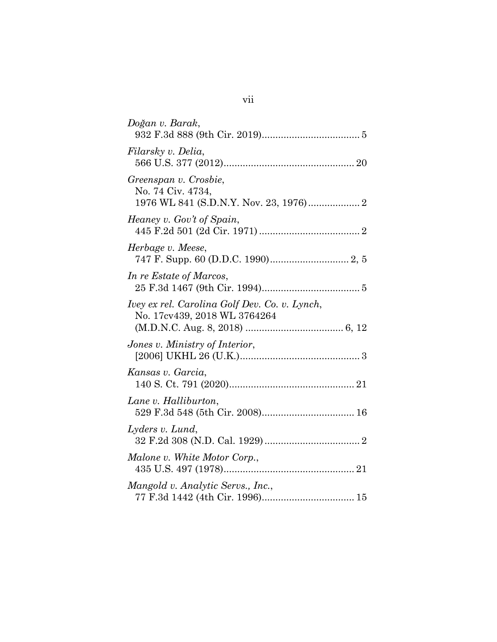| Doğan v. Barak,                                                               |
|-------------------------------------------------------------------------------|
| Filarsky v. Delia,                                                            |
| Greenspan v. Crosbie,<br>No. 74 Civ. 4734,                                    |
| Heaney v. Gov't of Spain,                                                     |
| Herbage v. Meese,                                                             |
| In re Estate of Marcos,                                                       |
| Ivey ex rel. Carolina Golf Dev. Co. v. Lynch,<br>No. 17cv439, 2018 WL 3764264 |
| Jones v. Ministry of Interior,                                                |
| Kansas v. Garcia,                                                             |
| Lane v. Halliburton,                                                          |
| Lyders v. Lund,                                                               |
| Malone v. White Motor Corp.,                                                  |
| Mangold v. Analytic Servs., Inc.,                                             |

vii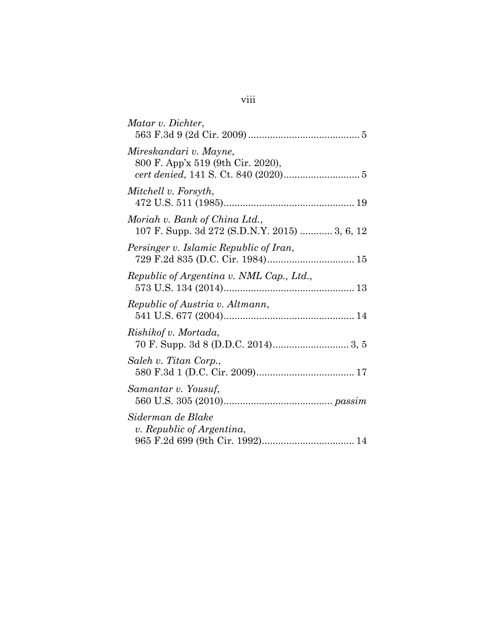| Matar v. Dichter,                                                              |
|--------------------------------------------------------------------------------|
| Mireskandari v. Mayne,<br>800 F. App'x 519 (9th Cir. 2020),                    |
| Mitchell v. Forsyth,                                                           |
| Moriah v. Bank of China Ltd.,<br>107 F. Supp. 3d 272 (S.D.N.Y. 2015)  3, 6, 12 |
| Persinger v. Islamic Republic of Iran,                                         |
| Republic of Argentina v. NML Cap., Ltd.,                                       |
| Republic of Austria v. Altmann,                                                |
| Rishikof v. Mortada,                                                           |
| Saleh v. Titan Corp.,                                                          |
| Samantar v. Yousuf,                                                            |
| Siderman de Blake<br>v. Republic of Argentina,                                 |

# viii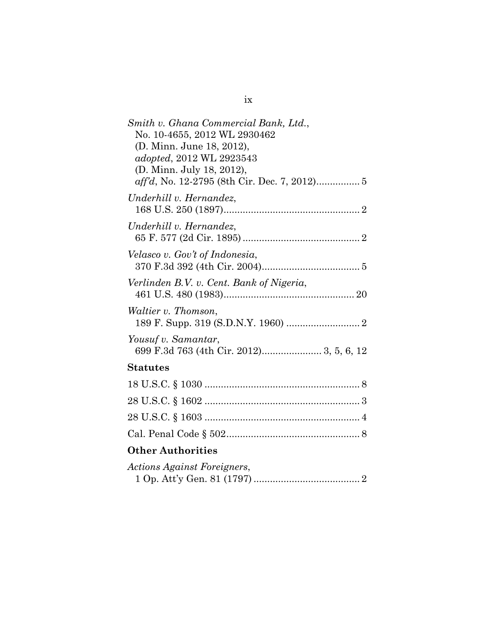| Smith v. Ghana Commercial Bank, Ltd.,<br>No. 10-4655, 2012 WL 2930462 |
|-----------------------------------------------------------------------|
| (D. Minn. June 18, 2012),                                             |
| <i>adopted</i> , 2012 WL 2923543                                      |
| (D. Minn. July 18, 2012),                                             |
|                                                                       |
| Underhill v. Hernandez,                                               |
| Underhill v. Hernandez,                                               |
| Velasco v. Gov't of Indonesia,                                        |
|                                                                       |
| Verlinden B.V. v. Cent. Bank of Nigeria,                              |
| Waltier v. Thomson,                                                   |
|                                                                       |
| Yousuf v. Samantar,<br>699 F.3d 763 (4th Cir. 2012) 3, 5, 6, 12       |
| <b>Statutes</b>                                                       |
|                                                                       |
|                                                                       |
|                                                                       |
|                                                                       |
| <b>Other Authorities</b>                                              |
| Actions Against Foreigners,                                           |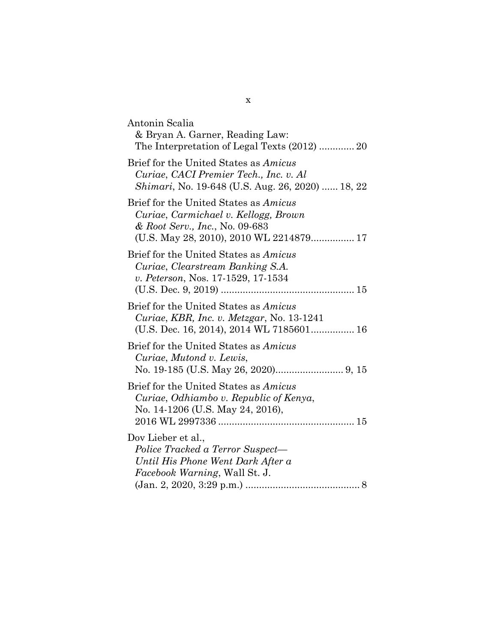| Antonin Scalia<br>& Bryan A. Garner, Reading Law:<br>The Interpretation of Legal Texts (2012)  20                                                          |
|------------------------------------------------------------------------------------------------------------------------------------------------------------|
| Brief for the United States as Amicus<br>Curiae, CACI Premier Tech., Inc. v. Al<br><i>Shimari</i> , No. 19-648 (U.S. Aug. 26, 2020)  18, 22                |
| Brief for the United States as Amicus<br>Curiae, Carmichael v. Kellogg, Brown<br>& Root Serv., Inc., No. 09-683<br>(U.S. May 28, 2010), 2010 WL 2214879 17 |
| Brief for the United States as Amicus<br>Curiae, Clearstream Banking S.A.<br>v. Peterson, Nos. 17-1529, 17-1534                                            |
| Brief for the United States as Amicus<br>Curiae, KBR, Inc. v. Metzgar, No. 13-1241<br>(U.S. Dec. 16, 2014), 2014 WL 7185601 16                             |
| Brief for the United States as Amicus<br>Curiae, Mutond v. Lewis,                                                                                          |
| Brief for the United States as Amicus<br>Curiae, Odhiambo v. Republic of Kenya,<br>No. 14-1206 (U.S. May 24, 2016),                                        |
| Dov Lieber et al.,<br>Police Tracked a Terror Suspect-<br>Until His Phone Went Dark After a<br><i>Facebook Warning, Wall St. J.</i>                        |

x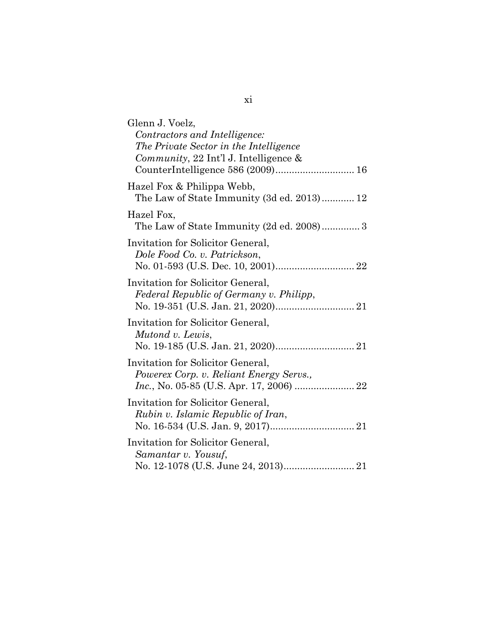| Glenn J. Voelz,<br>Contractors and Intelligence:<br>The Private Sector in the Intelligence<br><i>Community</i> , 22 Int'l J. Intelligence $\&$ |
|------------------------------------------------------------------------------------------------------------------------------------------------|
| Hazel Fox & Philippa Webb,<br>The Law of State Immunity $(3d \text{ ed. } 2013)$ 12                                                            |
| Hazel Fox,<br>The Law of State Immunity $(2d \text{ ed. } 2008)$ 3                                                                             |
| Invitation for Solicitor General,<br>Dole Food Co. v. Patrickson,                                                                              |
| Invitation for Solicitor General,<br>Federal Republic of Germany v. Philipp,                                                                   |
| Invitation for Solicitor General,<br>Mutond v. Lewis,                                                                                          |
| Invitation for Solicitor General,<br>Powerex Corp. v. Reliant Energy Servs.,<br>Inc., No. 05-85 (U.S. Apr. 17, 2006)  22                       |
| Invitation for Solicitor General,<br>Rubin v. Islamic Republic of Iran,                                                                        |
| Invitation for Solicitor General,<br>Samantar v. Yousuf,                                                                                       |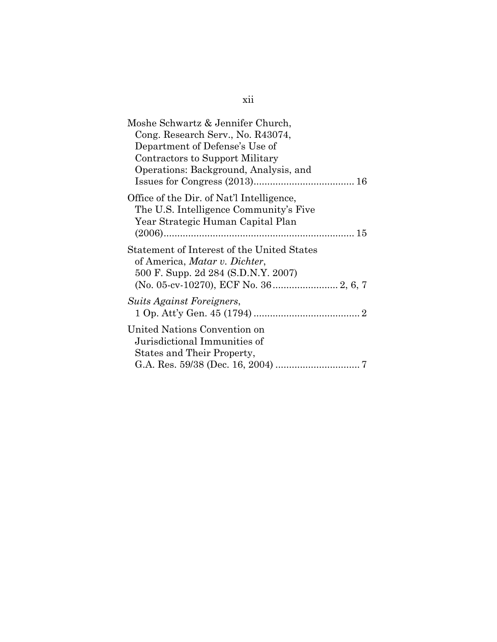| Moshe Schwartz & Jennifer Church,<br>Cong. Research Serv., No. R43074,<br>Department of Defense's Use of<br>Contractors to Support Military<br>Operations: Background, Analysis, and |
|--------------------------------------------------------------------------------------------------------------------------------------------------------------------------------------|
| Office of the Dir. of Nat'l Intelligence,<br>The U.S. Intelligence Community's Five<br>Year Strategic Human Capital Plan                                                             |
| Statement of Interest of the United States<br>of America, Matar v. Dichter,<br>500 F. Supp. 2d 284 (S.D.N.Y. 2007)                                                                   |
| Suits Against Foreigners,                                                                                                                                                            |
| United Nations Convention on<br>Jurisdictional Immunities of<br>States and Their Property,                                                                                           |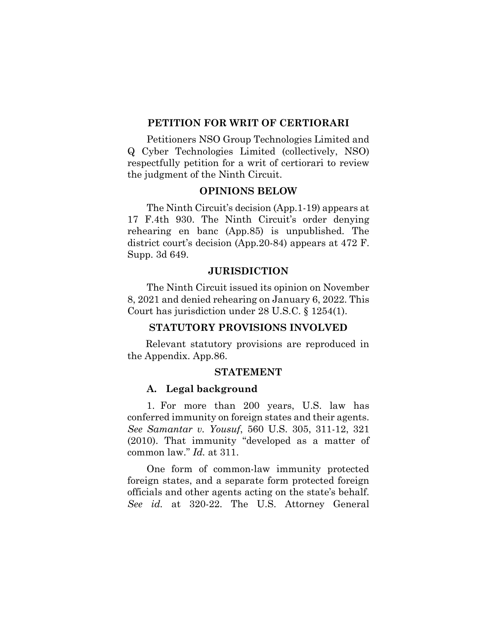#### **PETITION FOR WRIT OF CERTIORARI**

<span id="page-13-0"></span>Petitioners NSO Group Technologies Limited and Q Cyber Technologies Limited (collectively, NSO) respectfully petition for a writ of certiorari to review the judgment of the Ninth Circuit.

#### **OPINIONS BELOW**

<span id="page-13-1"></span>The Ninth Circuit's decision (App.1-19) appears at 17 F.4th 930. The Ninth Circuit's order denying rehearing en banc (App.85) is unpublished. The district court's decision (App.20-84) appears at 472 F. Supp. 3d 649.

#### **JURISDICTION**

<span id="page-13-2"></span>The Ninth Circuit issued its opinion on November 8, 2021 and denied rehearing on January 6, 2022. This Court has jurisdiction under 28 U.S.C. § 1254(1).

#### **STATUTORY PROVISIONS INVOLVED**

<span id="page-13-4"></span><span id="page-13-3"></span>Relevant statutory provisions are reproduced in the Appendix. App.86.

#### **STATEMENT**

#### **A. Legal background**

<span id="page-13-5"></span>1. For more than 200 years, U.S. law has conferred immunity on foreign states and their agents. *See Samantar v. Yousuf*, 560 U.S. 305, 311-12, 321 (2010). That immunity "developed as a matter of common law." *Id.* at 311.

One form of common-law immunity protected foreign states, and a separate form protected foreign officials and other agents acting on the state's behalf. *See id.* at 320-22. The U.S. Attorney General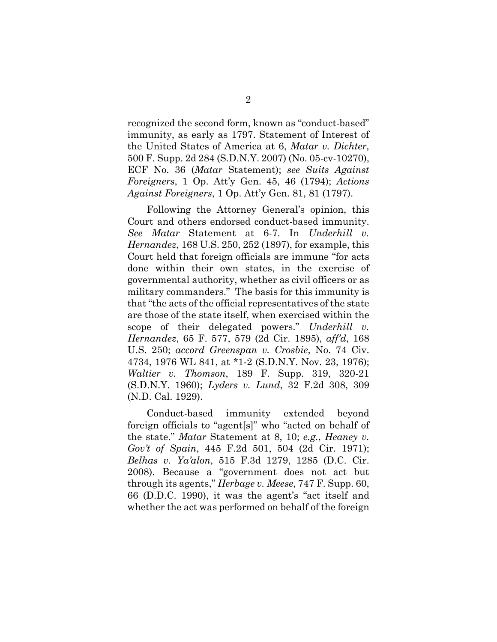recognized the second form, known as "conduct-based" immunity, as early as 1797. Statement of Interest of the United States of America at 6, *Matar v. Dichter*, 500 F. Supp. 2d 284 (S.D.N.Y. 2007) (No. 05-cv-10270), ECF No. 36 (*Matar* Statement); *see Suits Against Foreigners*, 1 Op. Att'y Gen. 45, 46 (1794); *Actions Against Foreigners*, 1 Op. Att'y Gen. 81, 81 (1797).

Following the Attorney General's opinion, this Court and others endorsed conduct-based immunity. *See Matar* Statement at 6-7. In *Underhill v. Hernandez*, 168 U.S. 250, 252 (1897), for example, this Court held that foreign officials are immune "for acts done within their own states, in the exercise of governmental authority, whether as civil officers or as military commanders." The basis for this immunity is that "the acts of the official representatives of the state are those of the state itself, when exercised within the scope of their delegated powers." *Underhill v. Hernandez*, 65 F. 577, 579 (2d Cir. 1895), *aff'd*, 168 U.S. 250; *accord Greenspan v. Crosbie*, No. 74 Civ. 4734, 1976 WL 841, at \*1-2 (S.D.N.Y. Nov. 23, 1976); *Waltier v. Thomson*, 189 F. Supp. 319, 320-21 (S.D.N.Y. 1960); *Lyders v. Lund*, 32 F.2d 308, 309 (N.D. Cal. 1929).

Conduct-based immunity extended beyond foreign officials to "agent[s]" who "acted on behalf of the state." *Matar* Statement at 8, 10; *e.g.*, *Heaney v. Gov't of Spain*, 445 F.2d 501, 504 (2d Cir. 1971); *Belhas v. Ya'alon*, 515 F.3d 1279, 1285 (D.C. Cir. 2008). Because a "government does not act but through its agents," *Herbage v. Meese*, 747 F. Supp. 60, 66 (D.D.C. 1990), it was the agent's "act itself and whether the act was performed on behalf of the foreign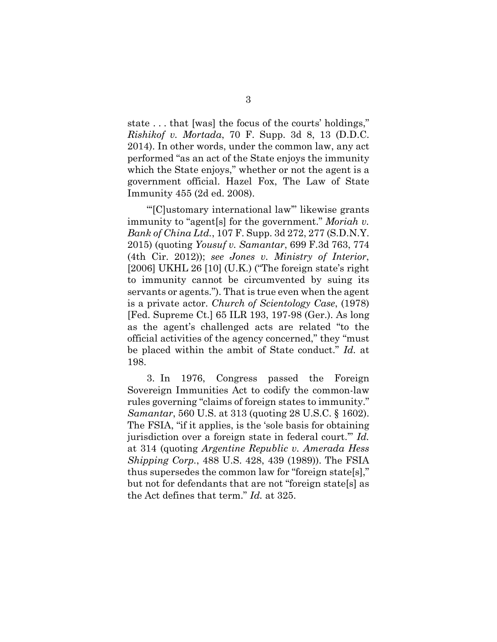state . . . that [was] the focus of the courts' holdings," *Rishikof v. Mortada*, 70 F. Supp. 3d 8, 13 (D.D.C. 2014). In other words, under the common law, any act performed "as an act of the State enjoys the immunity which the State enjoys," whether or not the agent is a government official. Hazel Fox, The Law of State Immunity 455 (2d ed. 2008).

"'[C]ustomary international law'" likewise grants immunity to "agent[s] for the government." *Moriah v. Bank of China Ltd.*, 107 F. Supp. 3d 272, 277 (S.D.N.Y. 2015) (quoting *Yousuf v. Samantar*, 699 F.3d 763, 774 (4th Cir. 2012)); *see Jones v. Ministry of Interior*, [2006] UKHL 26 [10] (U.K.) ("The foreign state's right to immunity cannot be circumvented by suing its servants or agents."). That is true even when the agent is a private actor. *Church of Scientology Case*, (1978) [Fed. Supreme Ct.] 65 ILR 193, 197-98 (Ger.). As long as the agent's challenged acts are related "to the official activities of the agency concerned," they "must be placed within the ambit of State conduct." *Id.* at 198.

3. In 1976, Congress passed the Foreign Sovereign Immunities Act to codify the common-law rules governing "claims of foreign states to immunity." *Samantar*, 560 U.S. at 313 (quoting 28 U.S.C. § 1602). The FSIA, "if it applies, is the 'sole basis for obtaining jurisdiction over a foreign state in federal court.'" *Id.* at 314 (quoting *Argentine Republic v. Amerada Hess Shipping Corp.*, 488 U.S. 428, 439 (1989)). The FSIA thus supersedes the common law for "foreign state[s]," but not for defendants that are not "foreign state[s] as the Act defines that term." *Id.* at 325.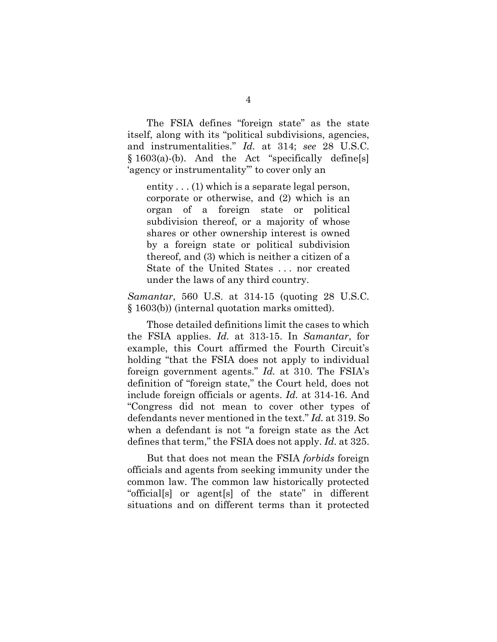The FSIA defines "foreign state" as the state itself, along with its "political subdivisions, agencies, and instrumentalities." *Id.* at 314; *see* 28 U.S.C. § 1603(a)-(b). And the Act "specifically define[s] 'agency or instrumentality'" to cover only an

entity . . . (1) which is a separate legal person, corporate or otherwise, and (2) which is an organ of a foreign state or political subdivision thereof, or a majority of whose shares or other ownership interest is owned by a foreign state or political subdivision thereof, and (3) which is neither a citizen of a State of the United States ... nor created under the laws of any third country.

*Samantar*, 560 U.S. at 314-15 (quoting 28 U.S.C. § 1603(b)) (internal quotation marks omitted).

Those detailed definitions limit the cases to which the FSIA applies. *Id.* at 313-15. In *Samantar*, for example, this Court affirmed the Fourth Circuit's holding "that the FSIA does not apply to individual foreign government agents." *Id.* at 310. The FSIA's definition of "foreign state," the Court held, does not include foreign officials or agents. *Id.* at 314-16. And "Congress did not mean to cover other types of defendants never mentioned in the text." *Id.* at 319. So when a defendant is not "a foreign state as the Act defines that term," the FSIA does not apply. *Id.* at 325.

But that does not mean the FSIA *forbids* foreign officials and agents from seeking immunity under the common law. The common law historically protected "official[s] or agent[s] of the state" in different situations and on different terms than it protected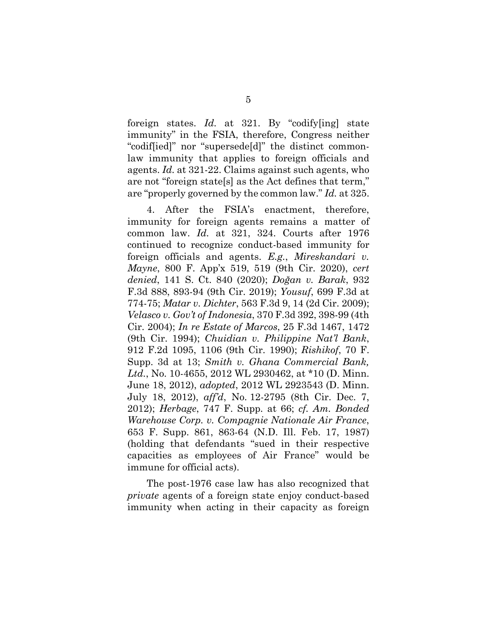foreign states. *Id.* at 321. By "codify[ing] state immunity" in the FSIA, therefore, Congress neither "codif[ied]" nor "supersede[d]" the distinct commonlaw immunity that applies to foreign officials and agents. *Id.* at 321-22. Claims against such agents, who are not "foreign state[s] as the Act defines that term," are "properly governed by the common law." *Id.* at 325.

4. After the FSIA's enactment, therefore, immunity for foreign agents remains a matter of common law. *Id.* at 321, 324. Courts after 1976 continued to recognize conduct-based immunity for foreign officials and agents. *E.g.*, *Mireskandari v. Mayne*, 800 F. App'x 519, 519 (9th Cir. 2020), *cert denied*, 141 S. Ct. 840 (2020); *Doğan v. Barak*, 932 F.3d 888, 893-94 (9th Cir. 2019); *Yousuf*, 699 F.3d at 774-75; *Matar v. Dichter*, 563 F.3d 9, 14 (2d Cir. 2009); *Velasco v. Gov't of Indonesia*, 370 F.3d 392, 398-99 (4th Cir. 2004); *In re Estate of Marcos*, 25 F.3d 1467, 1472 (9th Cir. 1994); *Chuidian v. Philippine Nat'l Bank*, 912 F.2d 1095, 1106 (9th Cir. 1990); *Rishikof*, 70 F. Supp. 3d at 13; *Smith v. Ghana Commercial Bank, Ltd.*, No. 10-4655, 2012 WL 2930462, at \*10 (D. Minn. June 18, 2012), *adopted*, 2012 WL 2923543 (D. Minn. July 18, 2012), *aff'd*, No. 12-2795 (8th Cir. Dec. 7, 2012); *Herbage*, 747 F. Supp. at 66; *cf. Am. Bonded Warehouse Corp. v. Compagnie Nationale Air France*, 653 F. Supp. 861, 863-64 (N.D. Ill. Feb. 17, 1987) (holding that defendants "sued in their respective capacities as employees of Air France" would be immune for official acts).

The post-1976 case law has also recognized that *private* agents of a foreign state enjoy conduct-based immunity when acting in their capacity as foreign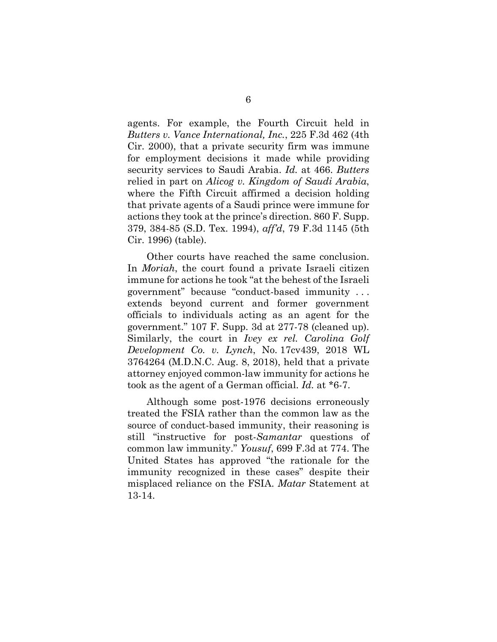agents. For example, the Fourth Circuit held in *Butters v. Vance International, Inc.*, 225 F.3d 462 (4th Cir. 2000), that a private security firm was immune for employment decisions it made while providing security services to Saudi Arabia. *Id.* at 466. *Butters* relied in part on *Alicog v. Kingdom of Saudi Arabia*, where the Fifth Circuit affirmed a decision holding that private agents of a Saudi prince were immune for actions they took at the prince's direction. 860 F. Supp. 379, 384-85 (S.D. Tex. 1994), *aff'd*, 79 F.3d 1145 (5th Cir. 1996) (table).

Other courts have reached the same conclusion. In *Moriah*, the court found a private Israeli citizen immune for actions he took "at the behest of the Israeli government" because "conduct-based immunity . . . extends beyond current and former government officials to individuals acting as an agent for the government." 107 F. Supp. 3d at 277-78 (cleaned up). Similarly, the court in *Ivey ex rel. Carolina Golf Development Co. v. Lynch*, No. 17cv439, 2018 WL 3764264 (M.D.N.C. Aug. 8, 2018), held that a private attorney enjoyed common-law immunity for actions he took as the agent of a German official. *Id.* at \*6-7.

Although some post-1976 decisions erroneously treated the FSIA rather than the common law as the source of conduct-based immunity, their reasoning is still "instructive for post-*Samantar* questions of common law immunity." *Yousuf*, 699 F.3d at 774. The United States has approved "the rationale for the immunity recognized in these cases" despite their misplaced reliance on the FSIA. *Matar* Statement at 13-14.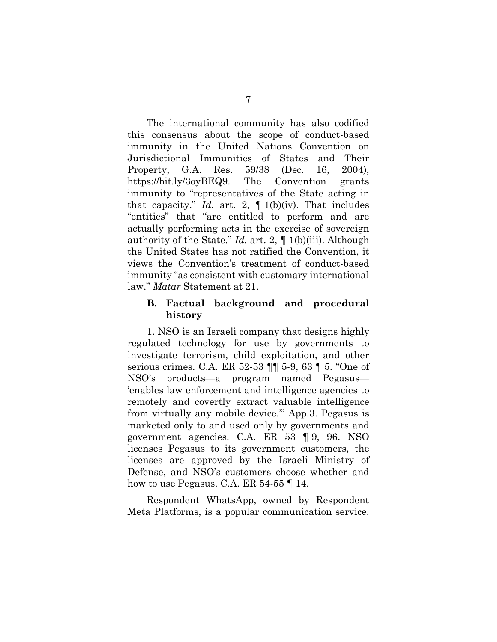The international community has also codified this consensus about the scope of conduct-based immunity in the United Nations Convention on Jurisdictional Immunities of States and Their Property, G.A. Res. 59/38 (Dec. 16, 2004), https://bit.ly/3oyBEQ9. The Convention grants immunity to "representatives of the State acting in that capacity." *Id.* art. 2,  $\P$  1(b)(iv). That includes "entities" that "are entitled to perform and are actually performing acts in the exercise of sovereign authority of the State." *Id.* art. 2, ¶ 1(b)(iii). Although the United States has not ratified the Convention, it views the Convention's treatment of conduct-based immunity "as consistent with customary international law." *Matar* Statement at 21.

## <span id="page-19-0"></span>**B. Factual background and procedural history**

1. NSO is an Israeli company that designs highly regulated technology for use by governments to investigate terrorism, child exploitation, and other serious crimes. C.A. ER 52-53 ¶¶ 5-9, 63 ¶ 5. "One of NSO's products—a program named Pegasus— 'enables law enforcement and intelligence agencies to remotely and covertly extract valuable intelligence from virtually any mobile device.'" App.3. Pegasus is marketed only to and used only by governments and government agencies. C.A. ER 53 ¶ 9, 96. NSO licenses Pegasus to its government customers, the licenses are approved by the Israeli Ministry of Defense, and NSO's customers choose whether and how to use Pegasus. C.A. ER 54-55 ¶ 14.

Respondent WhatsApp, owned by Respondent Meta Platforms, is a popular communication service.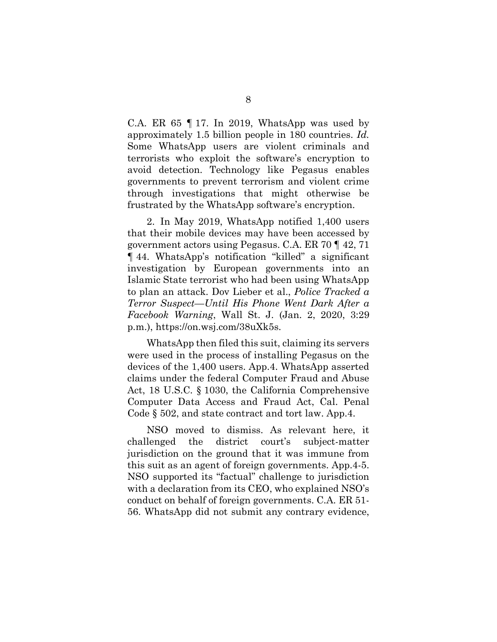C.A. ER 65  $\P$  17. In 2019, WhatsApp was used by approximately 1.5 billion people in 180 countries. *Id.*  Some WhatsApp users are violent criminals and terrorists who exploit the software's encryption to avoid detection. Technology like Pegasus enables governments to prevent terrorism and violent crime through investigations that might otherwise be frustrated by the WhatsApp software's encryption.

2. In May 2019, WhatsApp notified 1,400 users that their mobile devices may have been accessed by government actors using Pegasus. C.A. ER 70 ¶ 42, 71 ¶ 44. WhatsApp's notification "killed" a significant investigation by European governments into an Islamic State terrorist who had been using WhatsApp to plan an attack. Dov Lieber et al., *Police Tracked a Terror Suspect—Until His Phone Went Dark After a Facebook Warning*, Wall St. J. (Jan. 2, 2020, 3:29 p.m.), https://on.wsj.com/38uXk5s.

WhatsApp then filed this suit, claiming its servers were used in the process of installing Pegasus on the devices of the 1,400 users. App.4. WhatsApp asserted claims under the federal Computer Fraud and Abuse Act, 18 U.S.C. § 1030, the California Comprehensive Computer Data Access and Fraud Act, Cal. Penal Code § 502, and state contract and tort law. App.4.

NSO moved to dismiss. As relevant here, it challenged the district court's subject-matter jurisdiction on the ground that it was immune from this suit as an agent of foreign governments. App.4-5. NSO supported its "factual" challenge to jurisdiction with a declaration from its CEO, who explained NSO's conduct on behalf of foreign governments. C.A. ER 51- 56. WhatsApp did not submit any contrary evidence,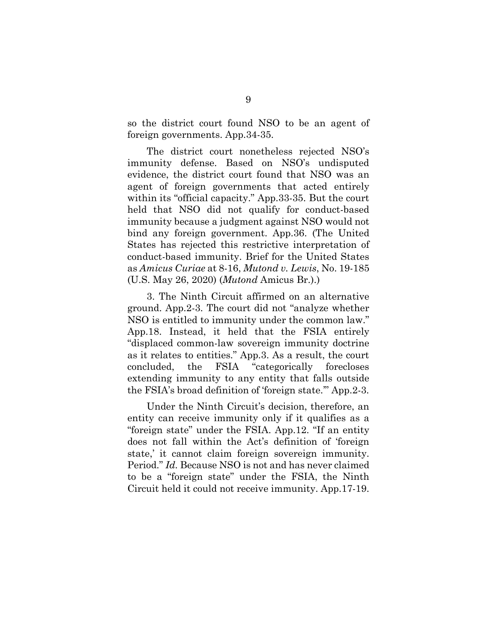so the district court found NSO to be an agent of foreign governments. App.34-35.

The district court nonetheless rejected NSO's immunity defense. Based on NSO's undisputed evidence, the district court found that NSO was an agent of foreign governments that acted entirely within its "official capacity." App.33-35. But the court held that NSO did not qualify for conduct-based immunity because a judgment against NSO would not bind any foreign government. App.36. (The United States has rejected this restrictive interpretation of conduct-based immunity. Brief for the United States as *Amicus Curiae* at 8-16, *Mutond v. Lewis*, No. 19-185 (U.S. May 26, 2020) (*Mutond* Amicus Br.).)

3. The Ninth Circuit affirmed on an alternative ground. App.2-3. The court did not "analyze whether NSO is entitled to immunity under the common law." App.18. Instead, it held that the FSIA entirely "displaced common-law sovereign immunity doctrine as it relates to entities." App.3. As a result, the court concluded, the FSIA "categorically forecloses extending immunity to any entity that falls outside the FSIA's broad definition of 'foreign state.'" App.2-3.

Under the Ninth Circuit's decision, therefore, an entity can receive immunity only if it qualifies as a "foreign state" under the FSIA. App.12. "If an entity does not fall within the Act's definition of 'foreign state,' it cannot claim foreign sovereign immunity. Period." *Id.* Because NSO is not and has never claimed to be a "foreign state" under the FSIA, the Ninth Circuit held it could not receive immunity. App.17-19.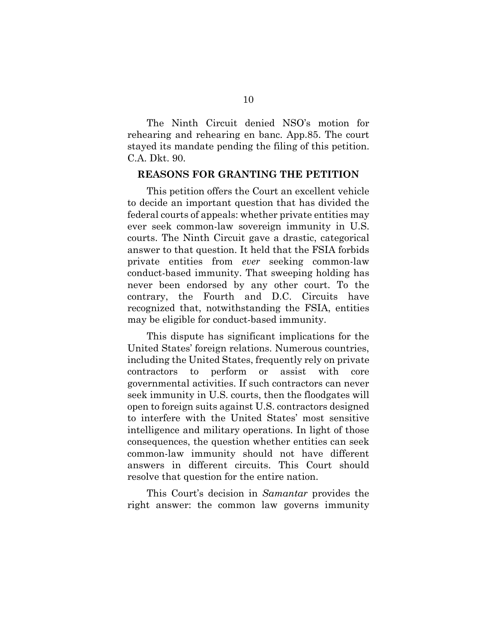The Ninth Circuit denied NSO's motion for rehearing and rehearing en banc. App.85. The court stayed its mandate pending the filing of this petition. C.A. Dkt. 90.

#### <span id="page-22-0"></span>**REASONS FOR GRANTING THE PETITION**

This petition offers the Court an excellent vehicle to decide an important question that has divided the federal courts of appeals: whether private entities may ever seek common-law sovereign immunity in U.S. courts. The Ninth Circuit gave a drastic, categorical answer to that question. It held that the FSIA forbids private entities from *ever* seeking common-law conduct-based immunity. That sweeping holding has never been endorsed by any other court. To the contrary, the Fourth and D.C. Circuits have recognized that, notwithstanding the FSIA, entities may be eligible for conduct-based immunity.

This dispute has significant implications for the United States' foreign relations. Numerous countries, including the United States, frequently rely on private contractors to perform or assist with core governmental activities. If such contractors can never seek immunity in U.S. courts, then the floodgates will open to foreign suits against U.S. contractors designed to interfere with the United States' most sensitive intelligence and military operations. In light of those consequences, the question whether entities can seek common-law immunity should not have different answers in different circuits. This Court should resolve that question for the entire nation.

This Court's decision in *Samantar* provides the right answer: the common law governs immunity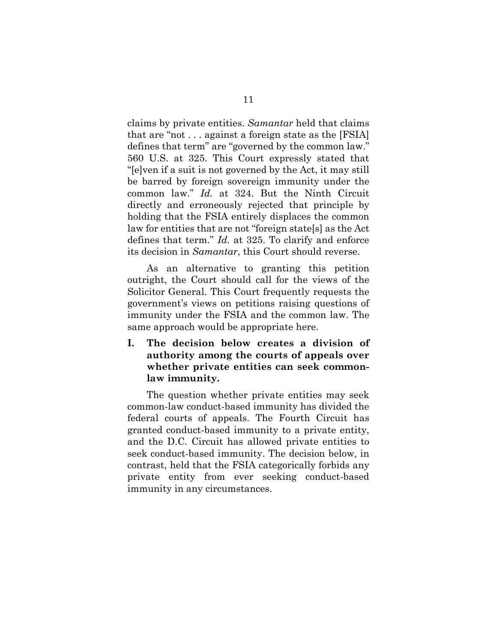claims by private entities. *Samantar* held that claims that are "not . . . against a foreign state as the [FSIA] defines that term" are "governed by the common law." 560 U.S. at 325. This Court expressly stated that "[e]ven if a suit is not governed by the Act, it may still be barred by foreign sovereign immunity under the common law." *Id.* at 324. But the Ninth Circuit directly and erroneously rejected that principle by holding that the FSIA entirely displaces the common law for entities that are not "foreign state[s] as the Act defines that term." *Id.* at 325. To clarify and enforce its decision in *Samantar*, this Court should reverse.

As an alternative to granting this petition outright, the Court should call for the views of the Solicitor General. This Court frequently requests the government's views on petitions raising questions of immunity under the FSIA and the common law. The same approach would be appropriate here.

<span id="page-23-0"></span>**I. The decision below creates a division of authority among the courts of appeals over whether private entities can seek commonlaw immunity.** 

The question whether private entities may seek common-law conduct-based immunity has divided the federal courts of appeals. The Fourth Circuit has granted conduct-based immunity to a private entity, and the D.C. Circuit has allowed private entities to seek conduct-based immunity. The decision below, in contrast, held that the FSIA categorically forbids any private entity from ever seeking conduct-based immunity in any circumstances.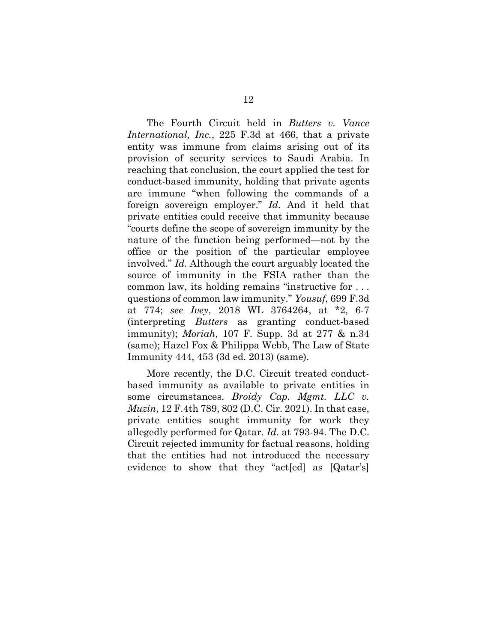The Fourth Circuit held in *Butters v. Vance International, Inc.*, 225 F.3d at 466, that a private entity was immune from claims arising out of its provision of security services to Saudi Arabia. In reaching that conclusion, the court applied the test for conduct-based immunity, holding that private agents are immune "when following the commands of a foreign sovereign employer." *Id.* And it held that private entities could receive that immunity because "courts define the scope of sovereign immunity by the nature of the function being performed—not by the office or the position of the particular employee involved." *Id.* Although the court arguably located the source of immunity in the FSIA rather than the common law, its holding remains "instructive for . . . questions of common law immunity." *Yousuf*, 699 F.3d at 774; *see Ivey*, 2018 WL 3764264, at \*2, 6-7 (interpreting *Butters* as granting conduct-based immunity); *Moriah*, 107 F. Supp. 3d at 277 & n.34 (same); Hazel Fox & Philippa Webb, The Law of State Immunity 444, 453 (3d ed. 2013) (same).

More recently, the D.C. Circuit treated conductbased immunity as available to private entities in some circumstances. *Broidy Cap. Mgmt. LLC v. Muzin*, 12 F.4th 789, 802 (D.C. Cir. 2021). In that case, private entities sought immunity for work they allegedly performed for Qatar. *Id.* at 793-94. The D.C. Circuit rejected immunity for factual reasons, holding that the entities had not introduced the necessary evidence to show that they "act[ed] as [Qatar's]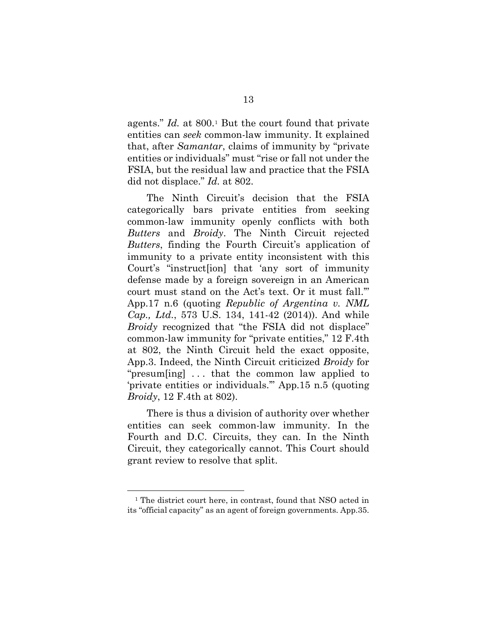agents." *Id.* at 800.[1](#page-25-0) But the court found that private entities can *seek* common-law immunity. It explained that, after *Samantar*, claims of immunity by "private entities or individuals" must "rise or fall not under the FSIA, but the residual law and practice that the FSIA did not displace." *Id.* at 802.

The Ninth Circuit's decision that the FSIA categorically bars private entities from seeking common-law immunity openly conflicts with both *Butters* and *Broidy*. The Ninth Circuit rejected *Butters*, finding the Fourth Circuit's application of immunity to a private entity inconsistent with this Court's "instruct[ion] that 'any sort of immunity defense made by a foreign sovereign in an American court must stand on the Act's text. Or it must fall.'" App.17 n.6 (quoting *Republic of Argentina v. NML Cap., Ltd.*, 573 U.S. 134, 141-42 (2014)). And while *Broidy* recognized that "the FSIA did not displace" common-law immunity for "private entities," 12 F.4th at 802, the Ninth Circuit held the exact opposite, App.3. Indeed, the Ninth Circuit criticized *Broidy* for "presum[ing] . . . that the common law applied to 'private entities or individuals.'" App.15 n.5 (quoting *Broidy*, 12 F.4th at 802).

There is thus a division of authority over whether entities can seek common-law immunity. In the Fourth and D.C. Circuits, they can. In the Ninth Circuit, they categorically cannot. This Court should grant review to resolve that split.

<span id="page-25-0"></span><sup>&</sup>lt;sup>1</sup> The district court here, in contrast, found that NSO acted in its "official capacity" as an agent of foreign governments. App.35.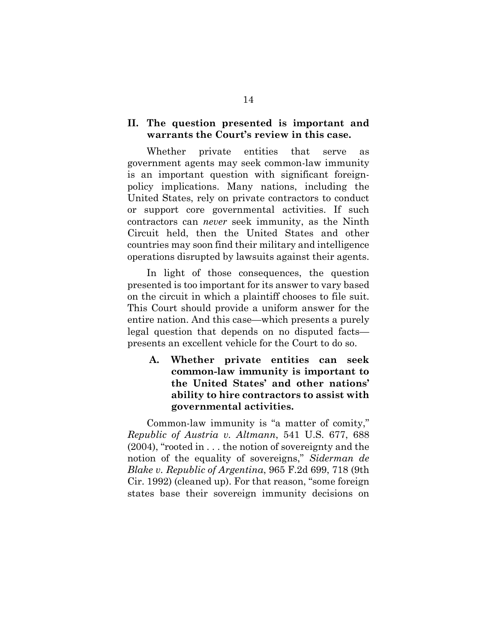## <span id="page-26-0"></span>**II. The question presented is important and warrants the Court's review in this case.**

Whether private entities that serve as government agents may seek common-law immunity is an important question with significant foreignpolicy implications. Many nations, including the United States, rely on private contractors to conduct or support core governmental activities. If such contractors can *never* seek immunity, as the Ninth Circuit held, then the United States and other countries may soon find their military and intelligence operations disrupted by lawsuits against their agents.

In light of those consequences, the question presented is too important for its answer to vary based on the circuit in which a plaintiff chooses to file suit. This Court should provide a uniform answer for the entire nation. And this case—which presents a purely legal question that depends on no disputed facts presents an excellent vehicle for the Court to do so.

<span id="page-26-1"></span>**A. Whether private entities can seek common-law immunity is important to the United States' and other nations' ability to hire contractors to assist with governmental activities.** 

Common-law immunity is "a matter of comity," *Republic of Austria v. Altmann*, 541 U.S. 677, 688 (2004), "rooted in . . . the notion of sovereignty and the notion of the equality of sovereigns," *Siderman de Blake v. Republic of Argentina*, 965 F.2d 699, 718 (9th Cir. 1992) (cleaned up). For that reason, "some foreign states base their sovereign immunity decisions on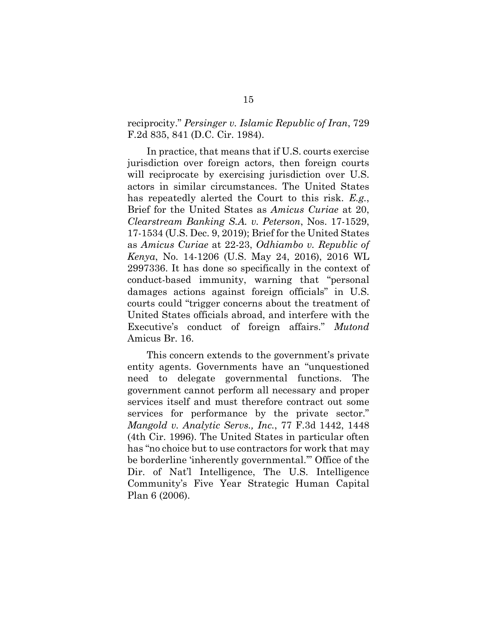## reciprocity." *Persinger v. Islamic Republic of Iran*, 729 F.2d 835, 841 (D.C. Cir. 1984).

In practice, that means that if U.S. courts exercise jurisdiction over foreign actors, then foreign courts will reciprocate by exercising jurisdiction over U.S. actors in similar circumstances. The United States has repeatedly alerted the Court to this risk. *E.g.*, Brief for the United States as *Amicus Curiae* at 20, *Clearstream Banking S.A. v. Peterson*, Nos. 17-1529, 17-1534 (U.S. Dec. 9, 2019); Brief for the United States as *Amicus Curiae* at 22-23, *Odhiambo v. Republic of Kenya*, No. 14-1206 (U.S. May 24, 2016), 2016 WL 2997336. It has done so specifically in the context of conduct-based immunity, warning that "personal damages actions against foreign officials" in U.S. courts could "trigger concerns about the treatment of United States officials abroad, and interfere with the Executive's conduct of foreign affairs." *Mutond*  Amicus Br. 16.

This concern extends to the government's private entity agents. Governments have an "unquestioned need to delegate governmental functions. The government cannot perform all necessary and proper services itself and must therefore contract out some services for performance by the private sector." *Mangold v. Analytic Servs., Inc.*, 77 F.3d 1442, 1448 (4th Cir. 1996). The United States in particular often has "no choice but to use contractors for work that may be borderline 'inherently governmental.'" Office of the Dir. of Nat'l Intelligence, The U.S. Intelligence Community's Five Year Strategic Human Capital Plan 6 (2006).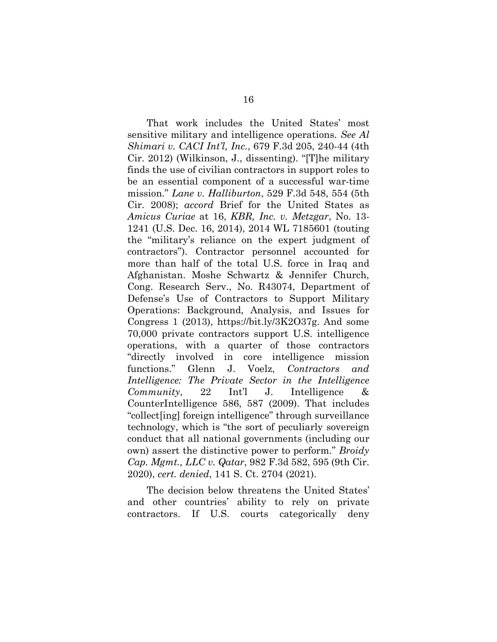That work includes the United States' most sensitive military and intelligence operations. *See Al Shimari v. CACI Int'l, Inc.*, 679 F.3d 205, 240-44 (4th Cir. 2012) (Wilkinson, J., dissenting). "[T]he military finds the use of civilian contractors in support roles to be an essential component of a successful war-time mission." *Lane v. Halliburton*, 529 F.3d 548, 554 (5th Cir. 2008); *accord* Brief for the United States as *Amicus Curiae* at 16, *KBR, Inc. v. Metzgar*, No. 13- 1241 (U.S. Dec. 16, 2014), 2014 WL 7185601 (touting the "military's reliance on the expert judgment of contractors"). Contractor personnel accounted for more than half of the total U.S. force in Iraq and Afghanistan. Moshe Schwartz & Jennifer Church, Cong. Research Serv., No. R43074, Department of Defense's Use of Contractors to Support Military Operations: Background, Analysis, and Issues for Congress 1 (2013), https://bit.ly/3K2O37g. And some 70,000 private contractors support U.S. intelligence operations, with a quarter of those contractors "directly involved in core intelligence mission functions." Glenn J. Voelz, *Contractors and Intelligence: The Private Sector in the Intelligence Community*, 22 Int'l J. Intelligence & CounterIntelligence 586, 587 (2009). That includes "collect[ing] foreign intelligence" through surveillance technology, which is "the sort of peculiarly sovereign conduct that all national governments (including our own) assert the distinctive power to perform." *Broidy Cap. Mgmt., LLC v. Qatar*, 982 F.3d 582, 595 (9th Cir. 2020), *cert. denied*, 141 S. Ct. 2704 (2021).

The decision below threatens the United States' and other countries' ability to rely on private contractors. If U.S. courts categorically deny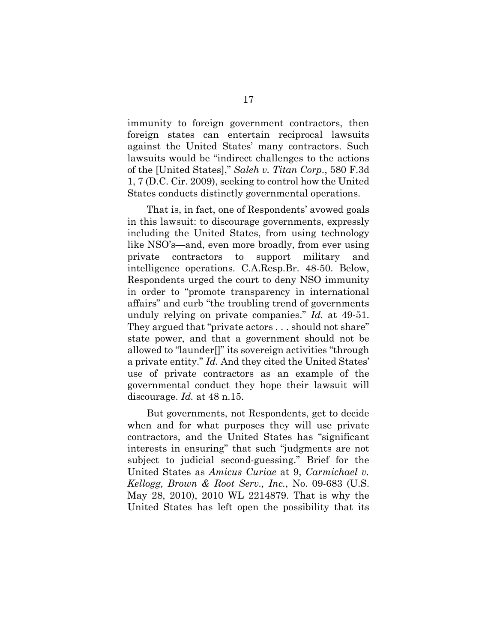immunity to foreign government contractors, then foreign states can entertain reciprocal lawsuits against the United States' many contractors. Such lawsuits would be "indirect challenges to the actions of the [United States]," *Saleh v. Titan Corp.*, 580 F.3d 1, 7 (D.C. Cir. 2009), seeking to control how the United States conducts distinctly governmental operations.

That is, in fact, one of Respondents' avowed goals in this lawsuit: to discourage governments, expressly including the United States, from using technology like NSO's—and, even more broadly, from ever using private contractors to support military and intelligence operations. C.A.Resp.Br. 48-50. Below, Respondents urged the court to deny NSO immunity in order to "promote transparency in international affairs" and curb "the troubling trend of governments unduly relying on private companies." *Id.* at 49-51. They argued that "private actors . . . should not share" state power, and that a government should not be allowed to "launder[]" its sovereign activities "through a private entity." *Id.* And they cited the United States' use of private contractors as an example of the governmental conduct they hope their lawsuit will discourage. *Id.* at 48 n.15.

But governments, not Respondents, get to decide when and for what purposes they will use private contractors, and the United States has "significant interests in ensuring" that such "judgments are not subject to judicial second-guessing." Brief for the United States as *Amicus Curiae* at 9, *Carmichael v. Kellogg, Brown & Root Serv., Inc.*, No. 09-683 (U.S. May 28, 2010), 2010 WL 2214879. That is why the United States has left open the possibility that its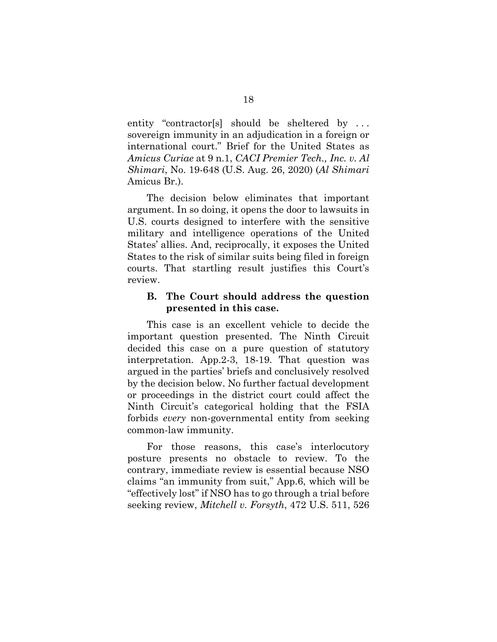entity "contractor[s] should be sheltered by ... sovereign immunity in an adjudication in a foreign or international court." Brief for the United States as *Amicus Curiae* at 9 n.1, *CACI Premier Tech., Inc. v. Al Shimari*, No. 19-648 (U.S. Aug. 26, 2020) (*Al Shimari*  Amicus Br.).

The decision below eliminates that important argument. In so doing, it opens the door to lawsuits in U.S. courts designed to interfere with the sensitive military and intelligence operations of the United States' allies. And, reciprocally, it exposes the United States to the risk of similar suits being filed in foreign courts. That startling result justifies this Court's review.

## <span id="page-30-0"></span>**B. The Court should address the question presented in this case.**

This case is an excellent vehicle to decide the important question presented. The Ninth Circuit decided this case on a pure question of statutory interpretation. App.2-3, 18-19. That question was argued in the parties' briefs and conclusively resolved by the decision below. No further factual development or proceedings in the district court could affect the Ninth Circuit's categorical holding that the FSIA forbids *every* non-governmental entity from seeking common-law immunity.

For those reasons, this case's interlocutory posture presents no obstacle to review. To the contrary, immediate review is essential because NSO claims "an immunity from suit," App.6, which will be "effectively lost" if NSO has to go through a trial before seeking review, *Mitchell v. Forsyth*, 472 U.S. 511, 526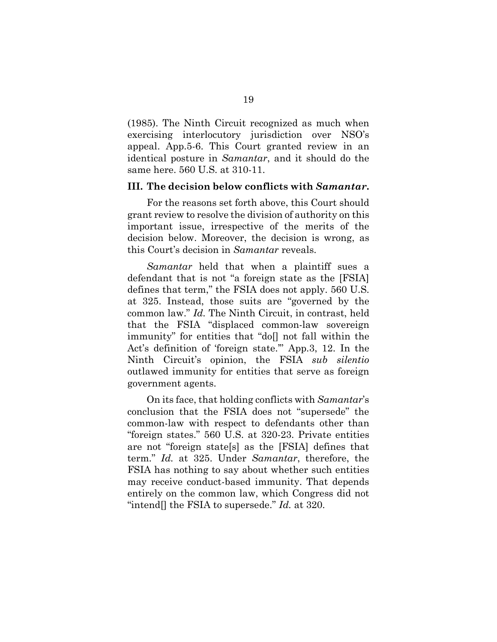(1985). The Ninth Circuit recognized as much when exercising interlocutory jurisdiction over NSO's appeal. App.5-6. This Court granted review in an identical posture in *Samantar*, and it should do the same here. 560 U.S. at 310-11.

#### <span id="page-31-0"></span>**III. The decision below conflicts with** *Samantar***.**

For the reasons set forth above, this Court should grant review to resolve the division of authority on this important issue, irrespective of the merits of the decision below. Moreover, the decision is wrong, as this Court's decision in *Samantar* reveals.

*Samantar* held that when a plaintiff sues a defendant that is not "a foreign state as the [FSIA] defines that term," the FSIA does not apply. 560 U.S. at 325. Instead, those suits are "governed by the common law." *Id.* The Ninth Circuit, in contrast, held that the FSIA "displaced common-law sovereign immunity" for entities that "do[] not fall within the Act's definition of 'foreign state.'" App.3, 12. In the Ninth Circuit's opinion, the FSIA *sub silentio* outlawed immunity for entities that serve as foreign government agents.

On its face, that holding conflicts with *Samantar*'s conclusion that the FSIA does not "supersede" the common-law with respect to defendants other than "foreign states." 560 U.S. at 320-23. Private entities are not "foreign state[s] as the [FSIA] defines that term." *Id.* at 325. Under *Samantar*, therefore, the FSIA has nothing to say about whether such entities may receive conduct-based immunity. That depends entirely on the common law, which Congress did not "intend[] the FSIA to supersede." *Id.* at 320.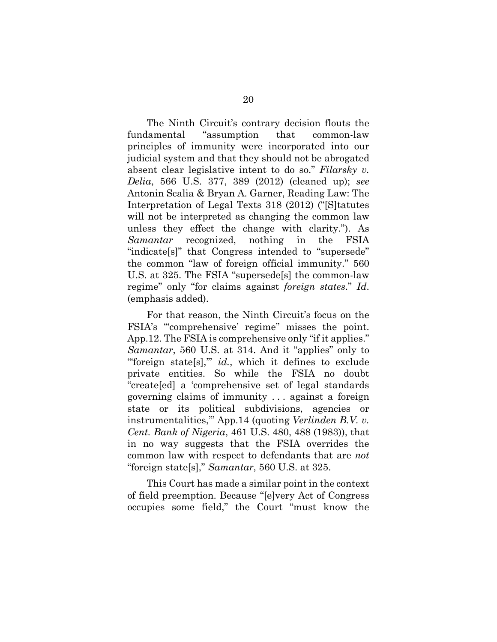The Ninth Circuit's contrary decision flouts the fundamental "assumption that common-law principles of immunity were incorporated into our judicial system and that they should not be abrogated absent clear legislative intent to do so." *Filarsky v. Delia*, 566 U.S. 377, 389 (2012) (cleaned up); *see*  Antonin Scalia & Bryan A. Garner, Reading Law: The Interpretation of Legal Texts 318 (2012) ("[S]tatutes will not be interpreted as changing the common law unless they effect the change with clarity."). As *Samantar* recognized, nothing in the FSIA "indicate[s]" that Congress intended to "supersede" the common "law of foreign official immunity." 560 U.S. at 325. The FSIA "supersede[s] the common-law regime" only "for claims against *foreign states*." *Id*. (emphasis added).

For that reason, the Ninth Circuit's focus on the FSIA's "'comprehensive' regime" misses the point. App.12. The FSIA is comprehensive only "if it applies." *Samantar*, 560 U.S. at 314. And it "applies" only to "foreign state[s]," *id.*, which it defines to exclude private entities. So while the FSIA no doubt "create[ed] a 'comprehensive set of legal standards governing claims of immunity . . . against a foreign state or its political subdivisions, agencies or instrumentalities,'" App.14 (quoting *Verlinden B.V. v. Cent. Bank of Nigeria*, 461 U.S. 480, 488 (1983)), that in no way suggests that the FSIA overrides the common law with respect to defendants that are *not*  "foreign state[s]," *Samantar*, 560 U.S. at 325.

This Court has made a similar point in the context of field preemption. Because "[e]very Act of Congress occupies some field," the Court "must know the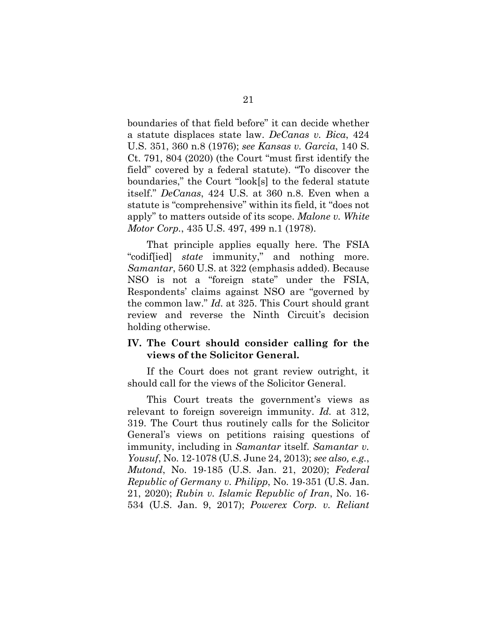boundaries of that field before" it can decide whether a statute displaces state law. *DeCanas v. Bica*, 424 U.S. 351, 360 n.8 (1976); *see Kansas v. Garcia*, 140 S. Ct. 791, 804 (2020) (the Court "must first identify the field" covered by a federal statute). "To discover the boundaries," the Court "look[s] to the federal statute itself." *DeCanas*, 424 U.S. at 360 n.8. Even when a statute is "comprehensive" within its field, it "does not apply" to matters outside of its scope. *Malone v. White Motor Corp.*, 435 U.S. 497, 499 n.1 (1978).

That principle applies equally here. The FSIA "codif[ied] *state* immunity," and nothing more. *Samantar*, 560 U.S. at 322 (emphasis added). Because NSO is not a "foreign state" under the FSIA, Respondents' claims against NSO are "governed by the common law." *Id.* at 325. This Court should grant review and reverse the Ninth Circuit's decision holding otherwise.

### <span id="page-33-0"></span>**IV. The Court should consider calling for the views of the Solicitor General.**

If the Court does not grant review outright, it should call for the views of the Solicitor General.

This Court treats the government's views as relevant to foreign sovereign immunity. *Id.* at 312, 319. The Court thus routinely calls for the Solicitor General's views on petitions raising questions of immunity, including in *Samantar* itself. *Samantar v. Yousuf*, No. 12-1078 (U.S. June 24, 2013); *see also, e.g.*, *Mutond*, No. 19-185 (U.S. Jan. 21, 2020); *Federal Republic of Germany v. Philipp*, No. 19-351 (U.S. Jan. 21, 2020); *Rubin v. Islamic Republic of Iran*, No. 16- 534 (U.S. Jan. 9, 2017); *Powerex Corp. v. Reliant*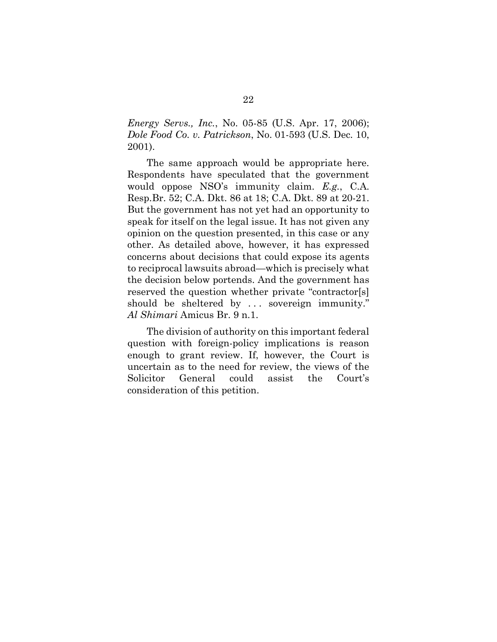*Energy Servs., Inc.*, No. 05-85 (U.S. Apr. 17, 2006); *Dole Food Co. v. Patrickson*, No. 01-593 (U.S. Dec. 10, 2001).

The same approach would be appropriate here. Respondents have speculated that the government would oppose NSO's immunity claim. *E.g.*, C.A. Resp.Br. 52; C.A. Dkt. 86 at 18; C.A. Dkt. 89 at 20-21. But the government has not yet had an opportunity to speak for itself on the legal issue. It has not given any opinion on the question presented, in this case or any other. As detailed above, however, it has expressed concerns about decisions that could expose its agents to reciprocal lawsuits abroad—which is precisely what the decision below portends. And the government has reserved the question whether private "contractor[s] should be sheltered by ... sovereign immunity." *Al Shimari* Amicus Br. 9 n.1.

The division of authority on this important federal question with foreign-policy implications is reason enough to grant review. If, however, the Court is uncertain as to the need for review, the views of the Solicitor General could assist the Court's consideration of this petition.